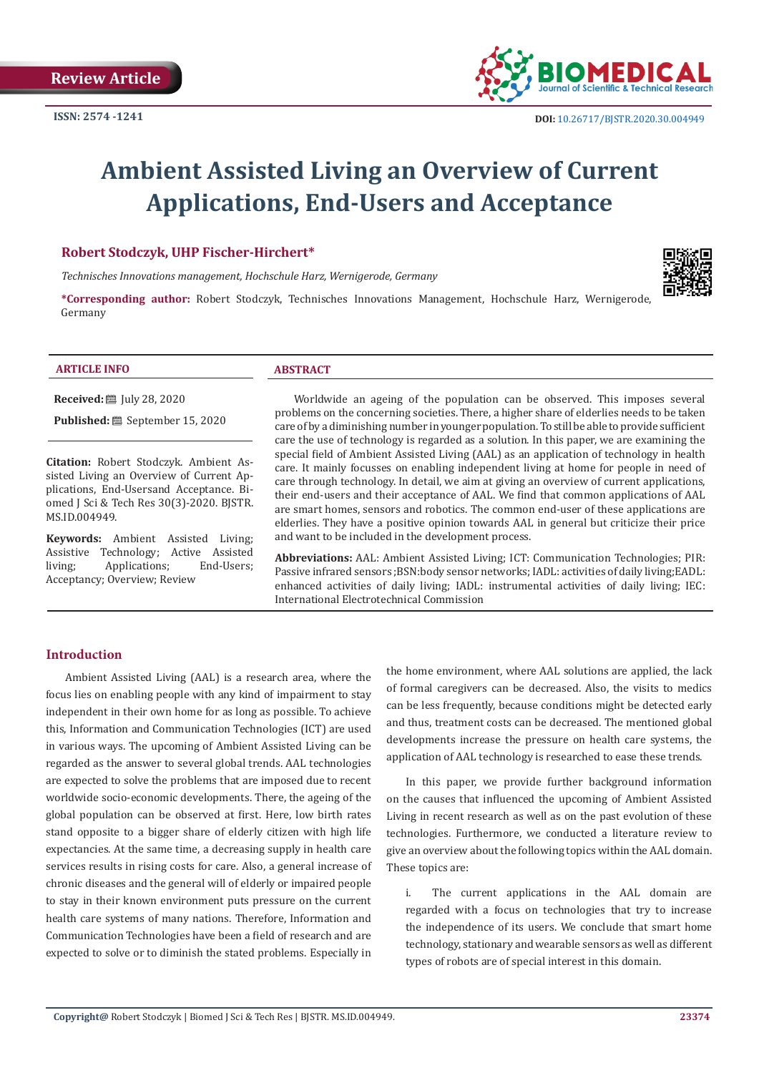

# **Ambient Assisted Living an Overview of Current Applications, End-Users and Acceptance**

# **Robert Stodczyk, UHP Fischer-Hirchert\***

*Technisches Innovations management, Hochschule Harz, Wernigerode, Germany* 



**\*Corresponding author:** Robert Stodczyk, Technisches Innovations Management, Hochschule Harz, Wernigerode, Germany

#### **ARTICLE INFO ABSTRACT**

**Received:** [Uly 28, 2020]

**Published:** ■ September 15, 2020

**Citation:** Robert Stodczyk. Ambient Assisted Living an Overview of Current Applications, End-Usersand Acceptance. Biomed J Sci & Tech Res 30(3)-2020. BJSTR. MS.ID.004949.

**Keywords:** Ambient Assisted Living; Assistive Technology; Active Assisted<br>
living: Applications: End-Users; Applications; Acceptancy; Overview; Review

Worldwide an ageing of the population can be observed. This imposes several problems on the concerning societies. There, a higher share of elderlies needs to be taken care of by a diminishing number in younger population. To still be able to provide sufficient care the use of technology is regarded as a solution. In this paper, we are examining the special field of Ambient Assisted Living (AAL) as an application of technology in health care. It mainly focusses on enabling independent living at home for people in need of care through technology. In detail, we aim at giving an overview of current applications, their end-users and their acceptance of AAL. We find that common applications of AAL are smart homes, sensors and robotics. The common end-user of these applications are elderlies. They have a positive opinion towards AAL in general but criticize their price and want to be included in the development process.

**Abbreviations:** AAL: Ambient Assisted Living; ICT: Communication Technologies; PIR: Passive infrared sensors ;BSN:body sensor networks; IADL: activities of daily living;EADL: enhanced activities of daily living; IADL: instrumental activities of daily living; IEC: International Electrotechnical Commission

### **Introduction**

Ambient Assisted Living (AAL) is a research area, where the focus lies on enabling people with any kind of impairment to stay independent in their own home for as long as possible. To achieve this, Information and Communication Technologies (ICT) are used in various ways. The upcoming of Ambient Assisted Living can be regarded as the answer to several global trends. AAL technologies are expected to solve the problems that are imposed due to recent worldwide socio-economic developments. There, the ageing of the global population can be observed at first. Here, low birth rates stand opposite to a bigger share of elderly citizen with high life expectancies. At the same time, a decreasing supply in health care services results in rising costs for care. Also, a general increase of chronic diseases and the general will of elderly or impaired people to stay in their known environment puts pressure on the current health care systems of many nations. Therefore, Information and Communication Technologies have been a field of research and are expected to solve or to diminish the stated problems. Especially in

the home environment, where AAL solutions are applied, the lack of formal caregivers can be decreased. Also, the visits to medics can be less frequently, because conditions might be detected early and thus, treatment costs can be decreased. The mentioned global developments increase the pressure on health care systems, the application of AAL technology is researched to ease these trends.

In this paper, we provide further background information on the causes that influenced the upcoming of Ambient Assisted Living in recent research as well as on the past evolution of these technologies. Furthermore, we conducted a literature review to give an overview about the following topics within the AAL domain. These topics are:

i. The current applications in the AAL domain are regarded with a focus on technologies that try to increase the independence of its users. We conclude that smart home technology, stationary and wearable sensors as well as different types of robots are of special interest in this domain.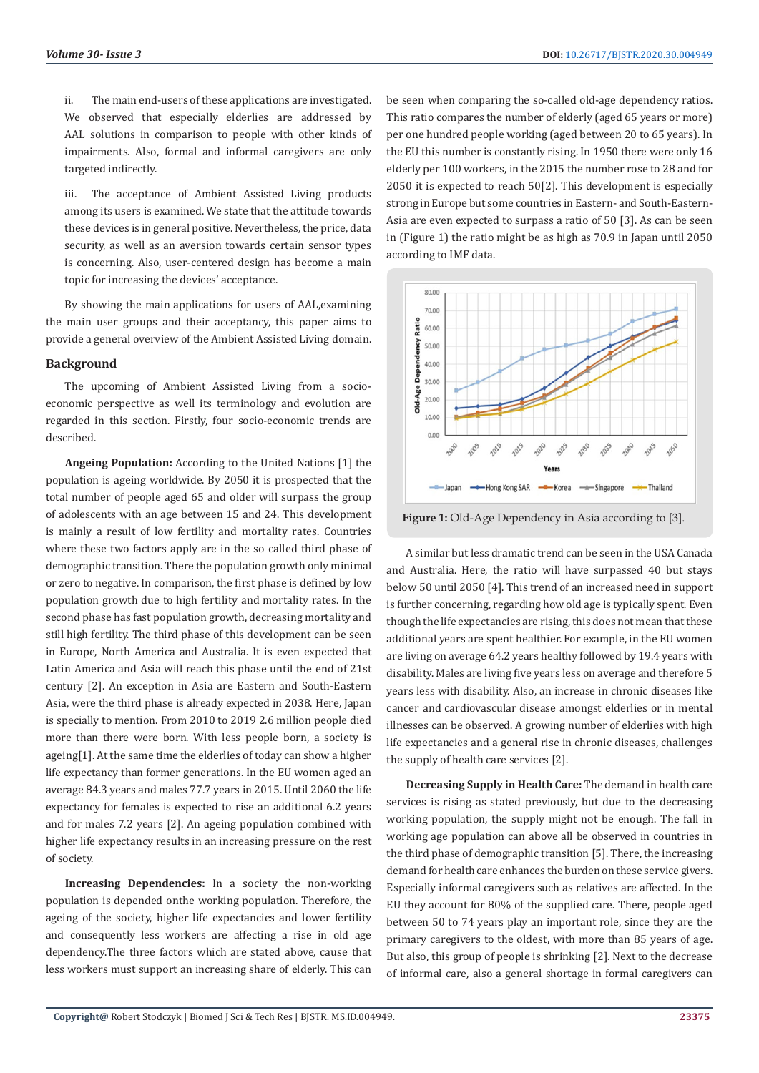ii. The main end-users of these applications are investigated. We observed that especially elderlies are addressed by AAL solutions in comparison to people with other kinds of impairments. Also, formal and informal caregivers are only targeted indirectly.

iii. The acceptance of Ambient Assisted Living products among its users is examined. We state that the attitude towards these devices is in general positive. Nevertheless, the price, data security, as well as an aversion towards certain sensor types is concerning. Also, user-centered design has become a main topic for increasing the devices' acceptance.

By showing the main applications for users of AAL,examining the main user groups and their acceptancy, this paper aims to provide a general overview of the Ambient Assisted Living domain.

#### **Background**

The upcoming of Ambient Assisted Living from a socioeconomic perspective as well its terminology and evolution are regarded in this section. Firstly, four socio-economic trends are described.

**Angeing Population:** According to the United Nations [1] the population is ageing worldwide. By 2050 it is prospected that the total number of people aged 65 and older will surpass the group of adolescents with an age between 15 and 24. This development is mainly a result of low fertility and mortality rates. Countries where these two factors apply are in the so called third phase of demographic transition. There the population growth only minimal or zero to negative. In comparison, the first phase is defined by low population growth due to high fertility and mortality rates. In the second phase has fast population growth, decreasing mortality and still high fertility. The third phase of this development can be seen in Europe, North America and Australia. It is even expected that Latin America and Asia will reach this phase until the end of 21st century [2]. An exception in Asia are Eastern and South-Eastern Asia, were the third phase is already expected in 2038. Here, Japan is specially to mention. From 2010 to 2019 2.6 million people died more than there were born. With less people born, a society is ageing[1]. At the same time the elderlies of today can show a higher life expectancy than former generations. In the EU women aged an average 84.3 years and males 77.7 years in 2015. Until 2060 the life expectancy for females is expected to rise an additional 6.2 years and for males 7.2 years [2]. An ageing population combined with higher life expectancy results in an increasing pressure on the rest of society.

**Increasing Dependencies:** In a society the non-working population is depended onthe working population. Therefore, the ageing of the society, higher life expectancies and lower fertility and consequently less workers are affecting a rise in old age dependency.The three factors which are stated above, cause that less workers must support an increasing share of elderly. This can

be seen when comparing the so-called old-age dependency ratios. This ratio compares the number of elderly (aged 65 years or more) per one hundred people working (aged between 20 to 65 years). In the EU this number is constantly rising. In 1950 there were only 16 elderly per 100 workers, in the 2015 the number rose to 28 and for 2050 it is expected to reach 50[2]. This development is especially strong in Europe but some countries in Eastern- and South-Eastern-Asia are even expected to surpass a ratio of 50 [3]. As can be seen in (Figure 1) the ratio might be as high as 70.9 in Japan until 2050 according to IMF data.



**Figure 1:** Old-Age Dependency in Asia according to [3].

A similar but less dramatic trend can be seen in the USA Canada and Australia. Here, the ratio will have surpassed 40 but stays below 50 until 2050 [4]. This trend of an increased need in support is further concerning, regarding how old age is typically spent. Even though the life expectancies are rising, this does not mean that these additional years are spent healthier. For example, in the EU women are living on average 64.2 years healthy followed by 19.4 years with disability. Males are living five years less on average and therefore 5 years less with disability. Also, an increase in chronic diseases like cancer and cardiovascular disease amongst elderlies or in mental illnesses can be observed. A growing number of elderlies with high life expectancies and a general rise in chronic diseases, challenges the supply of health care services [2].

**Decreasing Supply in Health Care:** The demand in health care services is rising as stated previously, but due to the decreasing working population, the supply might not be enough. The fall in working age population can above all be observed in countries in the third phase of demographic transition [5]. There, the increasing demand for health care enhances the burden on these service givers. Especially informal caregivers such as relatives are affected. In the EU they account for 80% of the supplied care. There, people aged between 50 to 74 years play an important role, since they are the primary caregivers to the oldest, with more than 85 years of age. But also, this group of people is shrinking [2]. Next to the decrease of informal care, also a general shortage in formal caregivers can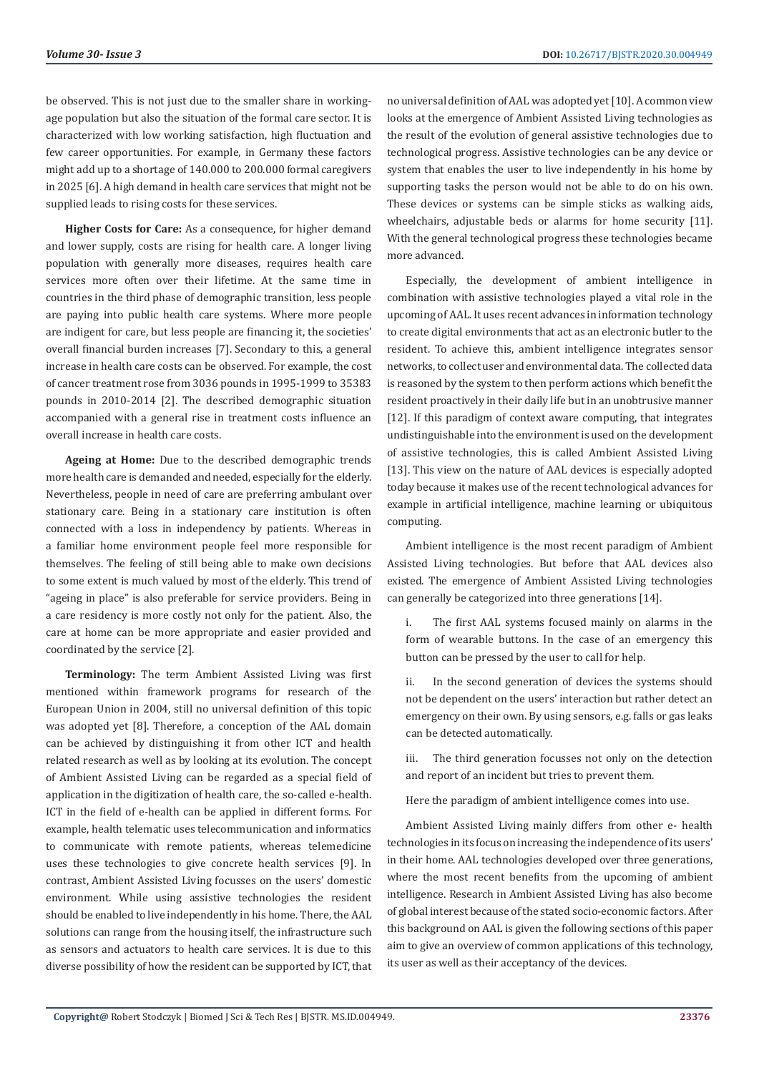be observed. This is not just due to the smaller share in workingage population but also the situation of the formal care sector. It is characterized with low working satisfaction, high fluctuation and few career opportunities. For example, in Germany these factors might add up to a shortage of 140.000 to 200.000 formal caregivers in 2025 [6]. A high demand in health care services that might not be supplied leads to rising costs for these services.

**Higher Costs for Care:** As a consequence, for higher demand and lower supply, costs are rising for health care. A longer living population with generally more diseases, requires health care services more often over their lifetime. At the same time in countries in the third phase of demographic transition, less people are paying into public health care systems. Where more people are indigent for care, but less people are financing it, the societies' overall financial burden increases [7]. Secondary to this, a general increase in health care costs can be observed. For example, the cost of cancer treatment rose from 3036 pounds in 1995-1999 to 35383 pounds in 2010-2014 [2]. The described demographic situation accompanied with a general rise in treatment costs influence an overall increase in health care costs.

**Ageing at Home:** Due to the described demographic trends more health care is demanded and needed, especially for the elderly. Nevertheless, people in need of care are preferring ambulant over stationary care. Being in a stationary care institution is often connected with a loss in independency by patients. Whereas in a familiar home environment people feel more responsible for themselves. The feeling of still being able to make own decisions to some extent is much valued by most of the elderly. This trend of "ageing in place" is also preferable for service providers. Being in a care residency is more costly not only for the patient. Also, the care at home can be more appropriate and easier provided and coordinated by the service [2].

**Terminology:** The term Ambient Assisted Living was first mentioned within framework programs for research of the European Union in 2004, still no universal definition of this topic was adopted yet [8]. Therefore, a conception of the AAL domain can be achieved by distinguishing it from other ICT and health related research as well as by looking at its evolution. The concept of Ambient Assisted Living can be regarded as a special field of application in the digitization of health care, the so-called e-health. ICT in the field of e-health can be applied in different forms. For example, health telematic uses telecommunication and informatics to communicate with remote patients, whereas telemedicine uses these technologies to give concrete health services [9]. In contrast, Ambient Assisted Living focusses on the users' domestic environment. While using assistive technologies the resident should be enabled to live independently in his home. There, the AAL solutions can range from the housing itself, the infrastructure such as sensors and actuators to health care services. It is due to this diverse possibility of how the resident can be supported by ICT, that no universal definition of AAL was adopted yet [10]. A common view looks at the emergence of Ambient Assisted Living technologies as the result of the evolution of general assistive technologies due to technological progress. Assistive technologies can be any device or system that enables the user to live independently in his home by supporting tasks the person would not be able to do on his own. These devices or systems can be simple sticks as walking aids, wheelchairs, adjustable beds or alarms for home security [11]. With the general technological progress these technologies became more advanced.

Especially, the development of ambient intelligence in combination with assistive technologies played a vital role in the upcoming of AAL. It uses recent advances in information technology to create digital environments that act as an electronic butler to the resident. To achieve this, ambient intelligence integrates sensor networks, to collect user and environmental data. The collected data is reasoned by the system to then perform actions which benefit the resident proactively in their daily life but in an unobtrusive manner [12]. If this paradigm of context aware computing, that integrates undistinguishable into the environment is used on the development of assistive technologies, this is called Ambient Assisted Living [13]. This view on the nature of AAL devices is especially adopted today because it makes use of the recent technological advances for example in artificial intelligence, machine learning or ubiquitous computing.

Ambient intelligence is the most recent paradigm of Ambient Assisted Living technologies. But before that AAL devices also existed. The emergence of Ambient Assisted Living technologies can generally be categorized into three generations [14].

- i. The first AAL systems focused mainly on alarms in the form of wearable buttons. In the case of an emergency this button can be pressed by the user to call for help.
- ii. In the second generation of devices the systems should not be dependent on the users' interaction but rather detect an emergency on their own. By using sensors, e.g. falls or gas leaks can be detected automatically.

iii. The third generation focusses not only on the detection and report of an incident but tries to prevent them.

Here the paradigm of ambient intelligence comes into use.

Ambient Assisted Living mainly differs from other e- health technologies in its focus on increasing the independence of its users' in their home. AAL technologies developed over three generations, where the most recent benefits from the upcoming of ambient intelligence. Research in Ambient Assisted Living has also become of global interest because of the stated socio-economic factors. After this background on AAL is given the following sections of this paper aim to give an overview of common applications of this technology, its user as well as their acceptancy of the devices.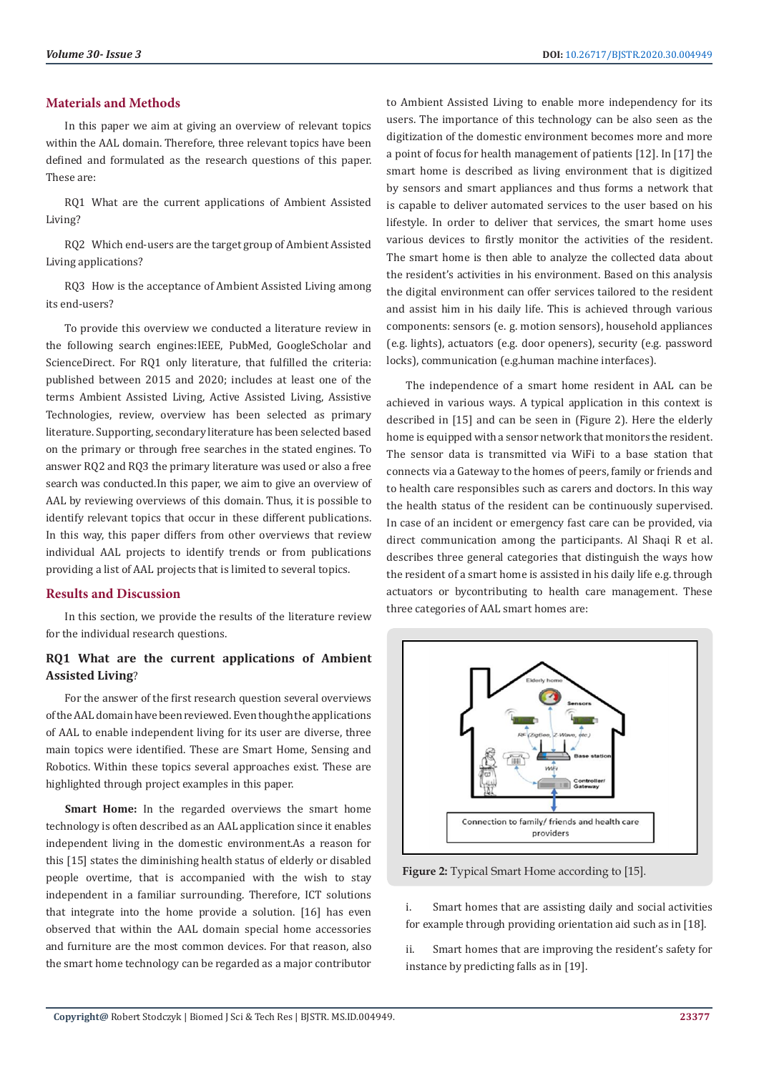## **Materials and Methods**

In this paper we aim at giving an overview of relevant topics within the AAL domain. Therefore, three relevant topics have been defined and formulated as the research questions of this paper. These are:

RQ1 What are the current applications of Ambient Assisted Living?

RQ2 Which end-users are the target group of Ambient Assisted Living applications?

RQ3 How is the acceptance of Ambient Assisted Living among its end-users?

To provide this overview we conducted a literature review in the following search engines:IEEE, PubMed, GoogleScholar and ScienceDirect. For RQ1 only literature, that fulfilled the criteria: published between 2015 and 2020; includes at least one of the terms Ambient Assisted Living, Active Assisted Living, Assistive Technologies, review, overview has been selected as primary literature. Supporting, secondary literature has been selected based on the primary or through free searches in the stated engines. To answer RQ2 and RQ3 the primary literature was used or also a free search was conducted.In this paper, we aim to give an overview of AAL by reviewing overviews of this domain. Thus, it is possible to identify relevant topics that occur in these different publications. In this way, this paper differs from other overviews that review individual AAL projects to identify trends or from publications providing a list of AAL projects that is limited to several topics.

# **Results and Discussion**

In this section, we provide the results of the literature review for the individual research questions.

# **RQ1 What are the current applications of Ambient Assisted Living**?

For the answer of the first research question several overviews of the AAL domain have been reviewed. Even though the applications of AAL to enable independent living for its user are diverse, three main topics were identified. These are Smart Home, Sensing and Robotics. Within these topics several approaches exist. These are highlighted through project examples in this paper.

Smart Home: In the regarded overviews the smart home technology is often described as an AAL application since it enables independent living in the domestic environment.As a reason for this [15] states the diminishing health status of elderly or disabled people overtime, that is accompanied with the wish to stay independent in a familiar surrounding. Therefore, ICT solutions that integrate into the home provide a solution. [16] has even observed that within the AAL domain special home accessories and furniture are the most common devices. For that reason, also the smart home technology can be regarded as a major contributor to Ambient Assisted Living to enable more independency for its users. The importance of this technology can be also seen as the digitization of the domestic environment becomes more and more a point of focus for health management of patients [12]. In [17] the smart home is described as living environment that is digitized by sensors and smart appliances and thus forms a network that is capable to deliver automated services to the user based on his lifestyle. In order to deliver that services, the smart home uses various devices to firstly monitor the activities of the resident. The smart home is then able to analyze the collected data about the resident's activities in his environment. Based on this analysis the digital environment can offer services tailored to the resident and assist him in his daily life. This is achieved through various components: sensors (e. g. motion sensors), household appliances (e.g. lights), actuators (e.g. door openers), security (e.g. password locks), communication (e.g.human machine interfaces).

The independence of a smart home resident in AAL can be achieved in various ways. A typical application in this context is described in [15] and can be seen in (Figure 2). Here the elderly home is equipped with a sensor network that monitors the resident. The sensor data is transmitted via WiFi to a base station that connects via a Gateway to the homes of peers, family or friends and to health care responsibles such as carers and doctors. In this way the health status of the resident can be continuously supervised. In case of an incident or emergency fast care can be provided, via direct communication among the participants. Al Shaqi R et al. describes three general categories that distinguish the ways how the resident of a smart home is assisted in his daily life e.g. through actuators or bycontributing to health care management. These three categories of AAL smart homes are:



**Figure 2:** Typical Smart Home according to [15].

i. Smart homes that are assisting daily and social activities for example through providing orientation aid such as in [18].

ii. Smart homes that are improving the resident's safety for instance by predicting falls as in [19].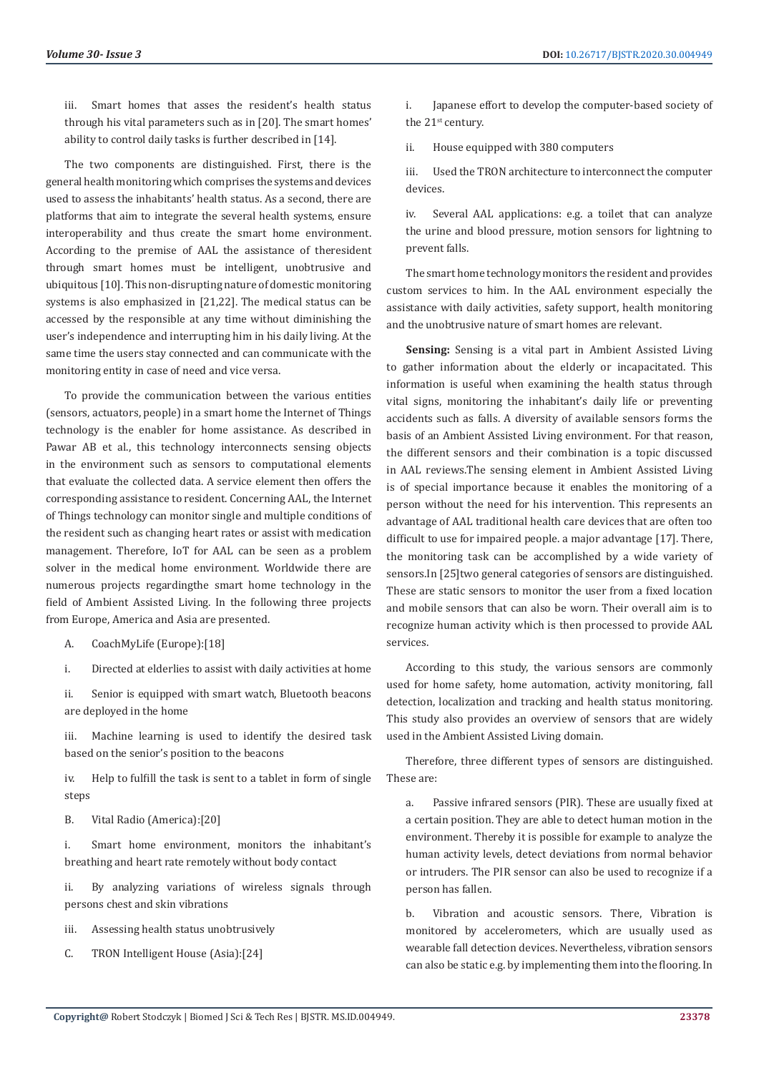iii. Smart homes that asses the resident's health status through his vital parameters such as in [20]. The smart homes' ability to control daily tasks is further described in [14].

The two components are distinguished. First, there is the general health monitoring which comprises the systems and devices used to assess the inhabitants' health status. As a second, there are platforms that aim to integrate the several health systems, ensure interoperability and thus create the smart home environment. According to the premise of AAL the assistance of theresident through smart homes must be intelligent, unobtrusive and ubiquitous [10]. This non-disrupting nature of domestic monitoring systems is also emphasized in [21,22]. The medical status can be accessed by the responsible at any time without diminishing the user's independence and interrupting him in his daily living. At the same time the users stay connected and can communicate with the monitoring entity in case of need and vice versa.

To provide the communication between the various entities (sensors, actuators, people) in a smart home the Internet of Things technology is the enabler for home assistance. As described in Pawar AB et al., this technology interconnects sensing objects in the environment such as sensors to computational elements that evaluate the collected data. A service element then offers the corresponding assistance to resident. Concerning AAL, the Internet of Things technology can monitor single and multiple conditions of the resident such as changing heart rates or assist with medication management. Therefore, IoT for AAL can be seen as a problem solver in the medical home environment. Worldwide there are numerous projects regardingthe smart home technology in the field of Ambient Assisted Living. In the following three projects from Europe, America and Asia are presented.

A. CoachMyLife (Europe):[18]

i. Directed at elderlies to assist with daily activities at home

ii. Senior is equipped with smart watch, Bluetooth beacons are deployed in the home

iii. Machine learning is used to identify the desired task based on the senior's position to the beacons

iv. Help to fulfill the task is sent to a tablet in form of single steps

B. Vital Radio (America):[20]

i. Smart home environment, monitors the inhabitant's breathing and heart rate remotely without body contact

ii. By analyzing variations of wireless signals through persons chest and skin vibrations

- iii. Assessing health status unobtrusively
- C. TRON Intelligent House (Asia):[24]

i. Japanese effort to develop the computer-based society of the 21<sup>st</sup> century.

ii. House equipped with 380 computers

iii. Used the TRON architecture to interconnect the computer devices.

iv. Several AAL applications: e.g. a toilet that can analyze the urine and blood pressure, motion sensors for lightning to prevent falls.

The smart home technology monitors the resident and provides custom services to him. In the AAL environment especially the assistance with daily activities, safety support, health monitoring and the unobtrusive nature of smart homes are relevant.

**Sensing:** Sensing is a vital part in Ambient Assisted Living to gather information about the elderly or incapacitated. This information is useful when examining the health status through vital signs, monitoring the inhabitant's daily life or preventing accidents such as falls. A diversity of available sensors forms the basis of an Ambient Assisted Living environment. For that reason, the different sensors and their combination is a topic discussed in AAL reviews.The sensing element in Ambient Assisted Living is of special importance because it enables the monitoring of a person without the need for his intervention. This represents an advantage of AAL traditional health care devices that are often too difficult to use for impaired people. a major advantage [17]. There, the monitoring task can be accomplished by a wide variety of sensors.In [25]two general categories of sensors are distinguished. These are static sensors to monitor the user from a fixed location and mobile sensors that can also be worn. Their overall aim is to recognize human activity which is then processed to provide AAL services.

According to this study, the various sensors are commonly used for home safety, home automation, activity monitoring, fall detection, localization and tracking and health status monitoring. This study also provides an overview of sensors that are widely used in the Ambient Assisted Living domain.

Therefore, three different types of sensors are distinguished. These are:

a. Passive infrared sensors (PIR). These are usually fixed at a certain position. They are able to detect human motion in the environment. Thereby it is possible for example to analyze the human activity levels, detect deviations from normal behavior or intruders. The PIR sensor can also be used to recognize if a person has fallen.

b. Vibration and acoustic sensors. There, Vibration is monitored by accelerometers, which are usually used as wearable fall detection devices. Nevertheless, vibration sensors can also be static e.g. by implementing them into the flooring. In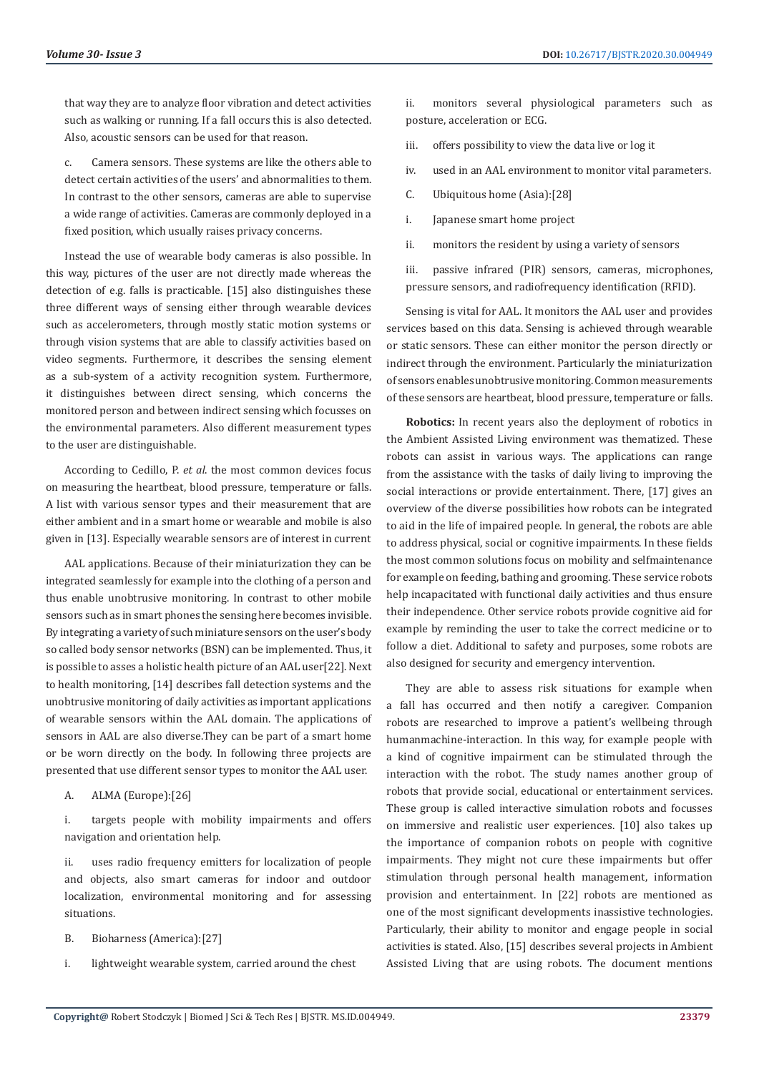that way they are to analyze floor vibration and detect activities such as walking or running. If a fall occurs this is also detected. Also, acoustic sensors can be used for that reason.

c. Camera sensors. These systems are like the others able to detect certain activities of the users' and abnormalities to them. In contrast to the other sensors, cameras are able to supervise a wide range of activities. Cameras are commonly deployed in a fixed position, which usually raises privacy concerns.

Instead the use of wearable body cameras is also possible. In this way, pictures of the user are not directly made whereas the detection of e.g. falls is practicable. [15] also distinguishes these three different ways of sensing either through wearable devices such as accelerometers, through mostly static motion systems or through vision systems that are able to classify activities based on video segments. Furthermore, it describes the sensing element as a sub-system of a activity recognition system. Furthermore, it distinguishes between direct sensing, which concerns the monitored person and between indirect sensing which focusses on the environmental parameters. Also different measurement types to the user are distinguishable.

According to Cedillo, P. *et al*. the most common devices focus on measuring the heartbeat, blood pressure, temperature or falls. A list with various sensor types and their measurement that are either ambient and in a smart home or wearable and mobile is also given in [13]. Especially wearable sensors are of interest in current

AAL applications. Because of their miniaturization they can be integrated seamlessly for example into the clothing of a person and thus enable unobtrusive monitoring. In contrast to other mobile sensors such as in smart phones the sensing here becomes invisible. By integrating a variety of such miniature sensors on the user's body so called body sensor networks (BSN) can be implemented. Thus, it is possible to asses a holistic health picture of an AAL user[22]. Next to health monitoring, [14] describes fall detection systems and the unobtrusive monitoring of daily activities as important applications of wearable sensors within the AAL domain. The applications of sensors in AAL are also diverse.They can be part of a smart home or be worn directly on the body. In following three projects are presented that use different sensor types to monitor the AAL user.

A. ALMA (Europe):[26]

i. targets people with mobility impairments and offers navigation and orientation help.

ii. uses radio frequency emitters for localization of people and objects, also smart cameras for indoor and outdoor localization, environmental monitoring and for assessing situations.

B. Bioharness (America):[27]

i. lightweight wearable system, carried around the chest

ii. monitors several physiological parameters such as posture, acceleration or ECG.

- iii. offers possibility to view the data live or log it
- iv. used in an AAL environment to monitor vital parameters.
- C. Ubiquitous home (Asia):[28]
- i. Japanese smart home project
- ii. monitors the resident by using a variety of sensors

iii. passive infrared (PIR) sensors, cameras, microphones, pressure sensors, and radiofrequency identification (RFID).

Sensing is vital for AAL. It monitors the AAL user and provides services based on this data. Sensing is achieved through wearable or static sensors. These can either monitor the person directly or indirect through the environment. Particularly the miniaturization of sensors enables unobtrusive monitoring. Common measurements of these sensors are heartbeat, blood pressure, temperature or falls.

**Robotics:** In recent years also the deployment of robotics in the Ambient Assisted Living environment was thematized. These robots can assist in various ways. The applications can range from the assistance with the tasks of daily living to improving the social interactions or provide entertainment. There, [17] gives an overview of the diverse possibilities how robots can be integrated to aid in the life of impaired people. In general, the robots are able to address physical, social or cognitive impairments. In these fields the most common solutions focus on mobility and selfmaintenance for example on feeding, bathing and grooming. These service robots help incapacitated with functional daily activities and thus ensure their independence. Other service robots provide cognitive aid for example by reminding the user to take the correct medicine or to follow a diet. Additional to safety and purposes, some robots are also designed for security and emergency intervention.

They are able to assess risk situations for example when a fall has occurred and then notify a caregiver. Companion robots are researched to improve a patient's wellbeing through humanmachine-interaction. In this way, for example people with a kind of cognitive impairment can be stimulated through the interaction with the robot. The study names another group of robots that provide social, educational or entertainment services. These group is called interactive simulation robots and focusses on immersive and realistic user experiences. [10] also takes up the importance of companion robots on people with cognitive impairments. They might not cure these impairments but offer stimulation through personal health management, information provision and entertainment. In [22] robots are mentioned as one of the most significant developments inassistive technologies. Particularly, their ability to monitor and engage people in social activities is stated. Also, [15] describes several projects in Ambient Assisted Living that are using robots. The document mentions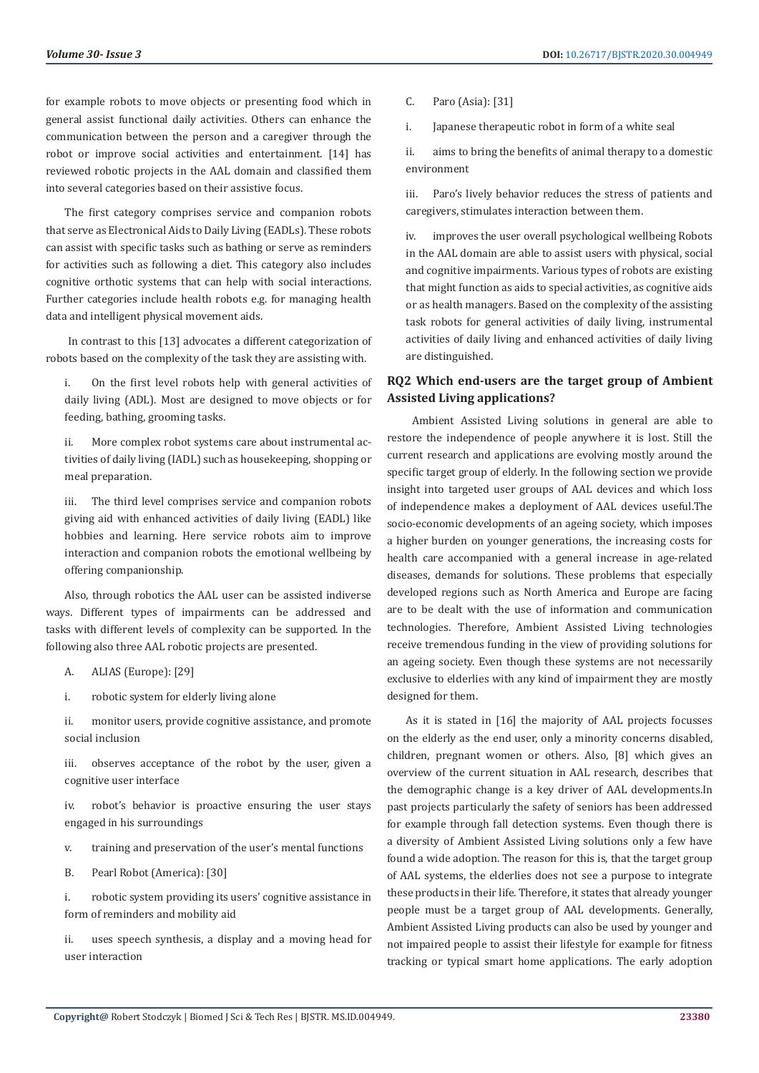for example robots to move objects or presenting food which in general assist functional daily activities. Others can enhance the communication between the person and a caregiver through the robot or improve social activities and entertainment. [14] has reviewed robotic projects in the AAL domain and classified them into several categories based on their assistive focus.

The first category comprises service and companion robots that serve as Electronical Aids to Daily Living (EADLs). These robots can assist with specific tasks such as bathing or serve as reminders for activities such as following a diet. This category also includes cognitive orthotic systems that can help with social interactions. Further categories include health robots e.g. for managing health data and intelligent physical movement aids.

 In contrast to this [13] advocates a different categorization of robots based on the complexity of the task they are assisting with.

i. On the first level robots help with general activities of daily living (ADL). Most are designed to move objects or for feeding, bathing, grooming tasks.

ii. More complex robot systems care about instrumental activities of daily living (IADL) such as housekeeping, shopping or meal preparation.

iii. The third level comprises service and companion robots giving aid with enhanced activities of daily living (EADL) like hobbies and learning. Here service robots aim to improve interaction and companion robots the emotional wellbeing by offering companionship.

Also, through robotics the AAL user can be assisted indiverse ways. Different types of impairments can be addressed and tasks with different levels of complexity can be supported. In the following also three AAL robotic projects are presented.

- A. ALIAS (Europe): [29]
- i. robotic system for elderly living alone

ii. monitor users, provide cognitive assistance, and promote social inclusion

iii. observes acceptance of the robot by the user, given a cognitive user interface

iv. robot's behavior is proactive ensuring the user stays engaged in his surroundings

- v. training and preservation of the user's mental functions
- B. Pearl Robot (America): [30]

i. robotic system providing its users' cognitive assistance in form of reminders and mobility aid

ii. uses speech synthesis, a display and a moving head for user interaction

C. Paro (Asia): [31]

i. Japanese therapeutic robot in form of a white seal

ii. aims to bring the benefits of animal therapy to a domestic environment

iii. Paro's lively behavior reduces the stress of patients and caregivers, stimulates interaction between them.

iv. improves the user overall psychological wellbeing Robots in the AAL domain are able to assist users with physical, social and cognitive impairments. Various types of robots are existing that might function as aids to special activities, as cognitive aids or as health managers. Based on the complexity of the assisting task robots for general activities of daily living, instrumental activities of daily living and enhanced activities of daily living are distinguished.

# **RQ2 Which end-users are the target group of Ambient Assisted Living applications?**

 Ambient Assisted Living solutions in general are able to restore the independence of people anywhere it is lost. Still the current research and applications are evolving mostly around the specific target group of elderly. In the following section we provide insight into targeted user groups of AAL devices and which loss of independence makes a deployment of AAL devices useful.The socio-economic developments of an ageing society, which imposes a higher burden on younger generations, the increasing costs for health care accompanied with a general increase in age-related diseases, demands for solutions. These problems that especially developed regions such as North America and Europe are facing are to be dealt with the use of information and communication technologies. Therefore, Ambient Assisted Living technologies receive tremendous funding in the view of providing solutions for an ageing society. Even though these systems are not necessarily exclusive to elderlies with any kind of impairment they are mostly designed for them.

As it is stated in [16] the majority of AAL projects focusses on the elderly as the end user, only a minority concerns disabled, children, pregnant women or others. Also, [8] which gives an overview of the current situation in AAL research, describes that the demographic change is a key driver of AAL developments.In past projects particularly the safety of seniors has been addressed for example through fall detection systems. Even though there is a diversity of Ambient Assisted Living solutions only a few have found a wide adoption. The reason for this is, that the target group of AAL systems, the elderlies does not see a purpose to integrate these products in their life. Therefore, it states that already younger people must be a target group of AAL developments. Generally, Ambient Assisted Living products can also be used by younger and not impaired people to assist their lifestyle for example for fitness tracking or typical smart home applications. The early adoption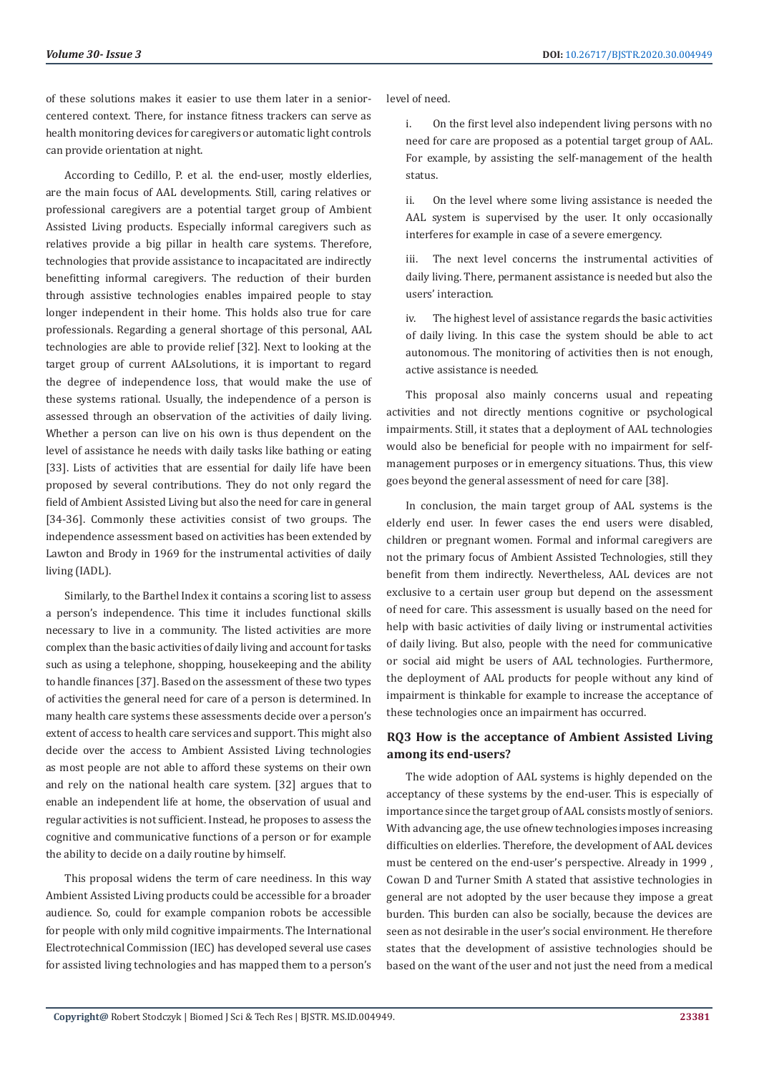of these solutions makes it easier to use them later in a seniorcentered context. There, for instance fitness trackers can serve as health monitoring devices for caregivers or automatic light controls can provide orientation at night.

According to Cedillo, P. et al. the end-user, mostly elderlies, are the main focus of AAL developments. Still, caring relatives or professional caregivers are a potential target group of Ambient Assisted Living products. Especially informal caregivers such as relatives provide a big pillar in health care systems. Therefore, technologies that provide assistance to incapacitated are indirectly benefitting informal caregivers. The reduction of their burden through assistive technologies enables impaired people to stay longer independent in their home. This holds also true for care professionals. Regarding a general shortage of this personal, AAL technologies are able to provide relief [32]. Next to looking at the target group of current AALsolutions, it is important to regard the degree of independence loss, that would make the use of these systems rational. Usually, the independence of a person is assessed through an observation of the activities of daily living. Whether a person can live on his own is thus dependent on the level of assistance he needs with daily tasks like bathing or eating [33]. Lists of activities that are essential for daily life have been proposed by several contributions. They do not only regard the field of Ambient Assisted Living but also the need for care in general [34-36]. Commonly these activities consist of two groups. The independence assessment based on activities has been extended by Lawton and Brody in 1969 for the instrumental activities of daily living (IADL).

Similarly, to the Barthel Index it contains a scoring list to assess a person's independence. This time it includes functional skills necessary to live in a community. The listed activities are more complex than the basic activities of daily living and account for tasks such as using a telephone, shopping, housekeeping and the ability to handle finances [37]. Based on the assessment of these two types of activities the general need for care of a person is determined. In many health care systems these assessments decide over a person's extent of access to health care services and support. This might also decide over the access to Ambient Assisted Living technologies as most people are not able to afford these systems on their own and rely on the national health care system. [32] argues that to enable an independent life at home, the observation of usual and regular activities is not sufficient. Instead, he proposes to assess the cognitive and communicative functions of a person or for example the ability to decide on a daily routine by himself.

This proposal widens the term of care neediness. In this way Ambient Assisted Living products could be accessible for a broader audience. So, could for example companion robots be accessible for people with only mild cognitive impairments. The International Electrotechnical Commission (IEC) has developed several use cases for assisted living technologies and has mapped them to a person's level of need.

i. On the first level also independent living persons with no need for care are proposed as a potential target group of AAL. For example, by assisting the self-management of the health status.

ii. On the level where some living assistance is needed the AAL system is supervised by the user. It only occasionally interferes for example in case of a severe emergency.

iii. The next level concerns the instrumental activities of daily living. There, permanent assistance is needed but also the users' interaction.

iv. The highest level of assistance regards the basic activities of daily living. In this case the system should be able to act autonomous. The monitoring of activities then is not enough, active assistance is needed.

This proposal also mainly concerns usual and repeating activities and not directly mentions cognitive or psychological impairments. Still, it states that a deployment of AAL technologies would also be beneficial for people with no impairment for selfmanagement purposes or in emergency situations. Thus, this view goes beyond the general assessment of need for care [38].

In conclusion, the main target group of AAL systems is the elderly end user. In fewer cases the end users were disabled, children or pregnant women. Formal and informal caregivers are not the primary focus of Ambient Assisted Technologies, still they benefit from them indirectly. Nevertheless, AAL devices are not exclusive to a certain user group but depend on the assessment of need for care. This assessment is usually based on the need for help with basic activities of daily living or instrumental activities of daily living. But also, people with the need for communicative or social aid might be users of AAL technologies. Furthermore, the deployment of AAL products for people without any kind of impairment is thinkable for example to increase the acceptance of these technologies once an impairment has occurred.

# **RQ3 How is the acceptance of Ambient Assisted Living among its end-users?**

The wide adoption of AAL systems is highly depended on the acceptancy of these systems by the end-user. This is especially of importance since the target group of AAL consists mostly of seniors. With advancing age, the use ofnew technologies imposes increasing difficulties on elderlies. Therefore, the development of AAL devices must be centered on the end-user's perspective. Already in 1999 , Cowan D and Turner Smith A stated that assistive technologies in general are not adopted by the user because they impose a great burden. This burden can also be socially, because the devices are seen as not desirable in the user's social environment. He therefore states that the development of assistive technologies should be based on the want of the user and not just the need from a medical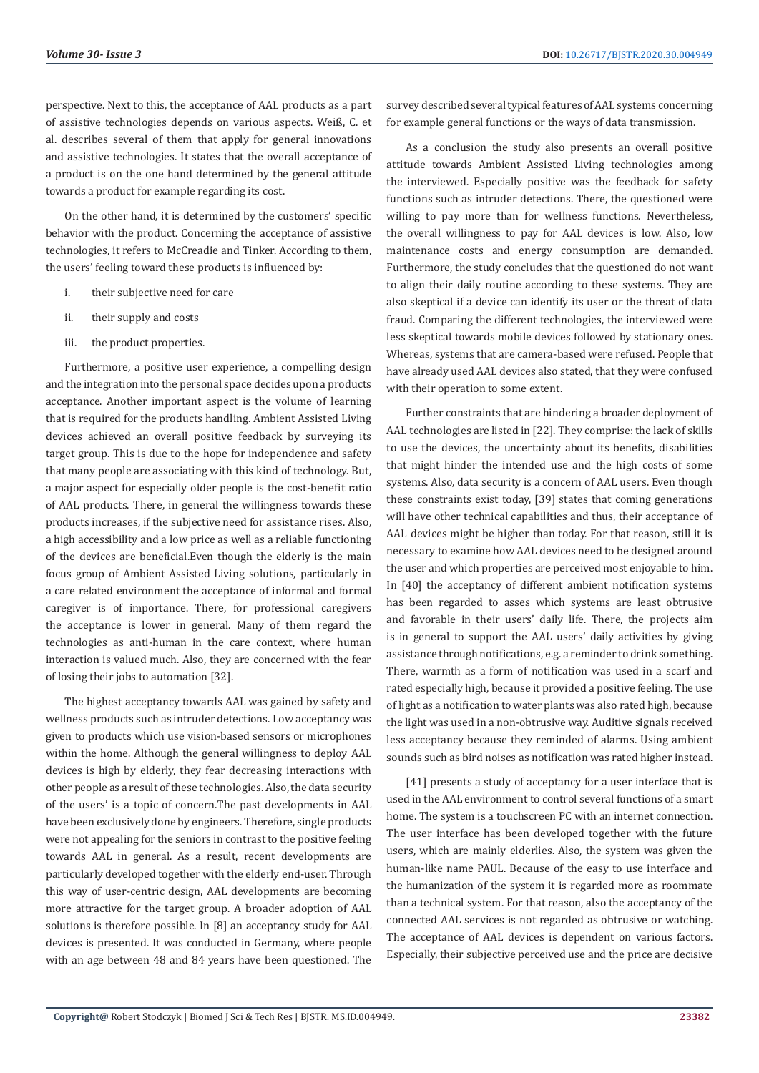perspective. Next to this, the acceptance of AAL products as a part of assistive technologies depends on various aspects. Weiß, C. et al. describes several of them that apply for general innovations and assistive technologies. It states that the overall acceptance of a product is on the one hand determined by the general attitude towards a product for example regarding its cost.

On the other hand, it is determined by the customers' specific behavior with the product. Concerning the acceptance of assistive technologies, it refers to McCreadie and Tinker. According to them, the users' feeling toward these products is influenced by:

- i. their subjective need for care
- ii. their supply and costs
- iii. the product properties.

Furthermore, a positive user experience, a compelling design and the integration into the personal space decides upon a products acceptance. Another important aspect is the volume of learning that is required for the products handling. Ambient Assisted Living devices achieved an overall positive feedback by surveying its target group. This is due to the hope for independence and safety that many people are associating with this kind of technology. But, a major aspect for especially older people is the cost-benefit ratio of AAL products. There, in general the willingness towards these products increases, if the subjective need for assistance rises. Also, a high accessibility and a low price as well as a reliable functioning of the devices are beneficial.Even though the elderly is the main focus group of Ambient Assisted Living solutions, particularly in a care related environment the acceptance of informal and formal caregiver is of importance. There, for professional caregivers the acceptance is lower in general. Many of them regard the technologies as anti-human in the care context, where human interaction is valued much. Also, they are concerned with the fear of losing their jobs to automation [32].

The highest acceptancy towards AAL was gained by safety and wellness products such as intruder detections. Low acceptancy was given to products which use vision-based sensors or microphones within the home. Although the general willingness to deploy AAL devices is high by elderly, they fear decreasing interactions with other people as a result of these technologies. Also, the data security of the users' is a topic of concern.The past developments in AAL have been exclusively done by engineers. Therefore, single products were not appealing for the seniors in contrast to the positive feeling towards AAL in general. As a result, recent developments are particularly developed together with the elderly end-user. Through this way of user-centric design, AAL developments are becoming more attractive for the target group. A broader adoption of AAL solutions is therefore possible. In [8] an acceptancy study for AAL devices is presented. It was conducted in Germany, where people with an age between 48 and 84 years have been questioned. The

survey described several typical features of AAL systems concerning for example general functions or the ways of data transmission.

As a conclusion the study also presents an overall positive attitude towards Ambient Assisted Living technologies among the interviewed. Especially positive was the feedback for safety functions such as intruder detections. There, the questioned were willing to pay more than for wellness functions. Nevertheless, the overall willingness to pay for AAL devices is low. Also, low maintenance costs and energy consumption are demanded. Furthermore, the study concludes that the questioned do not want to align their daily routine according to these systems. They are also skeptical if a device can identify its user or the threat of data fraud. Comparing the different technologies, the interviewed were less skeptical towards mobile devices followed by stationary ones. Whereas, systems that are camera-based were refused. People that have already used AAL devices also stated, that they were confused with their operation to some extent.

Further constraints that are hindering a broader deployment of AAL technologies are listed in [22]. They comprise: the lack of skills to use the devices, the uncertainty about its benefits, disabilities that might hinder the intended use and the high costs of some systems. Also, data security is a concern of AAL users. Even though these constraints exist today, [39] states that coming generations will have other technical capabilities and thus, their acceptance of AAL devices might be higher than today. For that reason, still it is necessary to examine how AAL devices need to be designed around the user and which properties are perceived most enjoyable to him. In [40] the acceptancy of different ambient notification systems has been regarded to asses which systems are least obtrusive and favorable in their users' daily life. There, the projects aim is in general to support the AAL users' daily activities by giving assistance through notifications, e.g. a reminder to drink something. There, warmth as a form of notification was used in a scarf and rated especially high, because it provided a positive feeling. The use of light as a notification to water plants was also rated high, because the light was used in a non-obtrusive way. Auditive signals received less acceptancy because they reminded of alarms. Using ambient sounds such as bird noises as notification was rated higher instead.

[41] presents a study of acceptancy for a user interface that is used in the AAL environment to control several functions of a smart home. The system is a touchscreen PC with an internet connection. The user interface has been developed together with the future users, which are mainly elderlies. Also, the system was given the human-like name PAUL. Because of the easy to use interface and the humanization of the system it is regarded more as roommate than a technical system. For that reason, also the acceptancy of the connected AAL services is not regarded as obtrusive or watching. The acceptance of AAL devices is dependent on various factors. Especially, their subjective perceived use and the price are decisive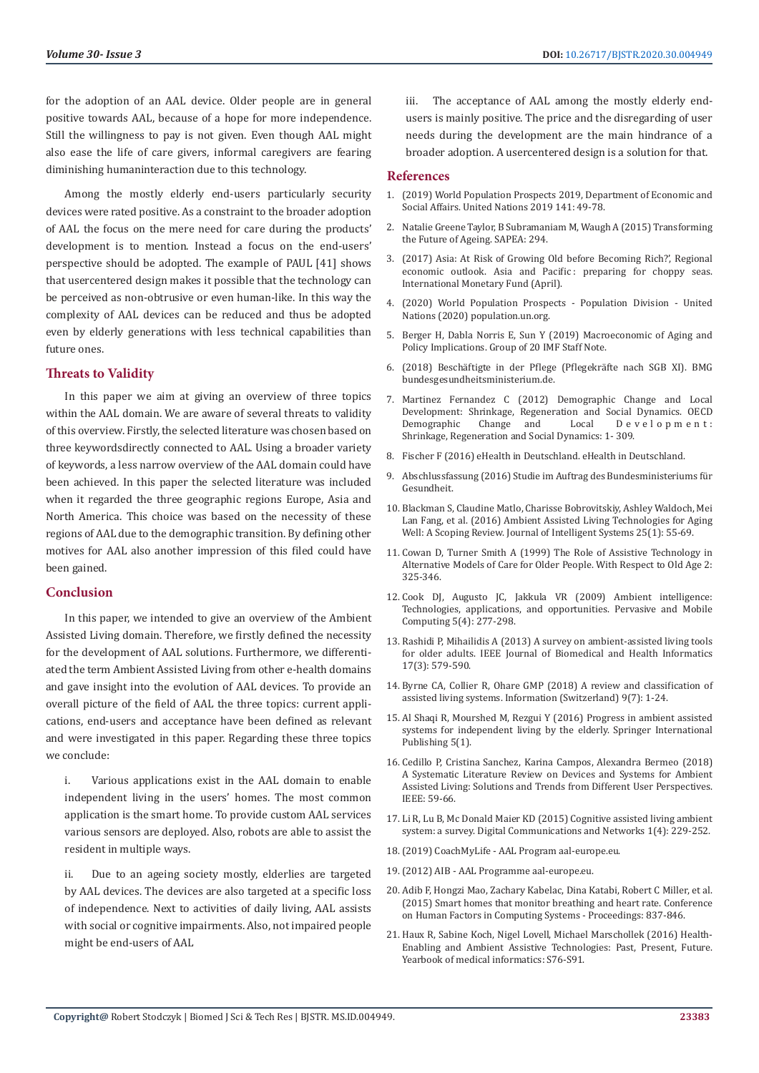for the adoption of an AAL device. Older people are in general positive towards AAL, because of a hope for more independence. Still the willingness to pay is not given. Even though AAL might also ease the life of care givers, informal caregivers are fearing diminishing humaninteraction due to this technology.

Among the mostly elderly end-users particularly security devices were rated positive. As a constraint to the broader adoption of AAL the focus on the mere need for care during the products' development is to mention. Instead a focus on the end-users' perspective should be adopted. The example of PAUL [41] shows that usercentered design makes it possible that the technology can be perceived as non-obtrusive or even human-like. In this way the complexity of AAL devices can be reduced and thus be adopted even by elderly generations with less technical capabilities than future ones.

# **Threats to Validity**

In this paper we aim at giving an overview of three topics within the AAL domain. We are aware of several threats to validity of this overview. Firstly, the selected literature was chosen based on three keywordsdirectly connected to AAL. Using a broader variety of keywords, a less narrow overview of the AAL domain could have been achieved. In this paper the selected literature was included when it regarded the three geographic regions Europe, Asia and North America. This choice was based on the necessity of these regions of AAL due to the demographic transition. By defining other motives for AAL also another impression of this filed could have been gained.

#### **Conclusion**

In this paper, we intended to give an overview of the Ambient Assisted Living domain. Therefore, we firstly defined the necessity for the development of AAL solutions. Furthermore, we differentiated the term Ambient Assisted Living from other e-health domains and gave insight into the evolution of AAL devices. To provide an overall picture of the field of AAL the three topics: current applications, end-users and acceptance have been defined as relevant and were investigated in this paper. Regarding these three topics we conclude:

i. Various applications exist in the AAL domain to enable independent living in the users' homes. The most common application is the smart home. To provide custom AAL services various sensors are deployed. Also, robots are able to assist the resident in multiple ways.

ii. Due to an ageing society mostly, elderlies are targeted by AAL devices. The devices are also targeted at a specific loss of independence. Next to activities of daily living, AAL assists with social or cognitive impairments. Also, not impaired people might be end-users of AAL

The acceptance of AAL among the mostly elderly endusers is mainly positive. The price and the disregarding of user needs during the development are the main hindrance of a broader adoption. A usercentered design is a solution for that.

#### **References**

- 1. [\(2019\) World Population Prospects 2019, Department of Economic and](https://pubmed.ncbi.nlm.nih.gov/12283219/) [Social Affairs. United Nations 2019 141: 49-78.](https://pubmed.ncbi.nlm.nih.gov/12283219/)
- 2. [Natalie Greene Taylor, B Subramaniam M, Waugh A \(2015\) Transforming](https://naturalsciences.ch/service/publications/115500-transforming-the-future-of-ageing) [the Future of Ageing. SAPEA: 294.](https://naturalsciences.ch/service/publications/115500-transforming-the-future-of-ageing)
- 3. [\(2017\) Asia: At Risk of Growing Old before Becoming Rich?', Regional](https://www.imf.org/en/Publications/REO/APAC/Issues/2018/04/16/areo0509) economic outlook. Asia and Pacific: preparing for choppy seas. [International Monetary Fund \(April\).](https://www.imf.org/en/Publications/REO/APAC/Issues/2018/04/16/areo0509)
- 4. [\(2020\) World Population Prospects Population Division United](https://population.un.org/wpp/Graphs/Probabilistic/OADR/65plus/2064/840) [Nations \(2020\) population.un.org.](https://population.un.org/wpp/Graphs/Probabilistic/OADR/65plus/2064/840)
- 5. [Berger H, Dabla Norris E, Sun Y \(2019\) Macroeconomic of Aging and](https://www.imf.org/external/np/g20/pdf/2019/060519a.pdf) [Policy Implications. Group of 20 IMF Staff Note.](https://www.imf.org/external/np/g20/pdf/2019/060519a.pdf)
- 6. [\(2018\) Beschäftigte in der Pflege \(Pflegekräfte nach SGB XI\). BMG](https://www.bundesgesundheitsministerium.de/themen/pflege/pflegekraefte/beschaeftigte.html) [bundesgesundheitsministerium.de.](https://www.bundesgesundheitsministerium.de/themen/pflege/pflegekraefte/beschaeftigte.html)
- 7. Martinez Fernandez C (2012) Demographic Change and Local Development: Shrinkage, Regeneration and Social Dynamics. OECD Development: Shrinkage, Regeneration and Social Dynamics: 1- 309.
- 8. [Fischer F \(2016\) eHealth in Deutschland. eHealth in Deutschland.](https://link.springer.com/book/10.1007/978-3-662-49504-9)
- 9. Abschlussfassung (2016) Studie im Auftrag des Bundesministeriums für Gesundheit.
- 10. [Blackman S, Claudine Matlo, Charisse Bobrovitskiy, Ashley Waldoch, Mei](https://www.degruyter.com/view/journals/jisys/25/1/article-p55.xml) [Lan Fang, et al. \(2016\) Ambient Assisted Living Technologies for Aging](https://www.degruyter.com/view/journals/jisys/25/1/article-p55.xml) [Well: A Scoping Review. Journal of Intelligent Systems 25\(1\): 55-69.](https://www.degruyter.com/view/journals/jisys/25/1/article-p55.xml)
- 11. [Cowan D, Turner Smith A \(1999\) The Role of Assistive Technology in](http://citeseerx.ist.psu.edu/viewdoc/download?doi=10.1.1.123.1879&rep=rep1&type=pdf) [Alternative Models of Care for Older People. With Respect to Old Age 2:](http://citeseerx.ist.psu.edu/viewdoc/download?doi=10.1.1.123.1879&rep=rep1&type=pdf) [325-346.](http://citeseerx.ist.psu.edu/viewdoc/download?doi=10.1.1.123.1879&rep=rep1&type=pdf)
- 12. [Cook DJ, Augusto JC, Jakkula VR \(2009\) Ambient intelligence:](https://dl.acm.org/doi/10.1016/j.pmcj.2009.04.001) [Technologies, applications, and opportunities. Pervasive and Mobile](https://dl.acm.org/doi/10.1016/j.pmcj.2009.04.001) [Computing 5\(4\): 277-298.](https://dl.acm.org/doi/10.1016/j.pmcj.2009.04.001)
- 13. [Rashidi P, Mihailidis A \(2013\) A survey on ambient-assisted living tools](https://ieeexplore.ieee.org/document/6399501) [for older adults. IEEE Journal of Biomedical and Health Informatics](https://ieeexplore.ieee.org/document/6399501) [17\(3\): 579-590.](https://ieeexplore.ieee.org/document/6399501)
- 14. [Byrne CA, Collier R, Ohare GMP \(2018\) A review and classification of](https://www.mdpi.com/2078-2489/9/7/182) [assisted living systems. Information \(Switzerland\) 9\(7\): 1-24.](https://www.mdpi.com/2078-2489/9/7/182)
- 15. [Al Shaqi R, Mourshed M, Rezgui Y \(2016\) Progress in ambient assisted](https://springerplus.springeropen.com/articles/10.1186/s40064-016-2272-8) [systems for independent living by the elderly. Springer International](https://springerplus.springeropen.com/articles/10.1186/s40064-016-2272-8) [Publishing 5\(1\).](https://springerplus.springeropen.com/articles/10.1186/s40064-016-2272-8)
- 16. [Cedillo P, Cristina Sanchez, Karina Campos, Alexandra Bermeo \(2018\)](https://ieeexplore.ieee.org/document/8372367/authors) [A Systematic Literature Review on Devices and Systems for Ambient](https://ieeexplore.ieee.org/document/8372367/authors) [Assisted Living: Solutions and Trends from Different User Perspectives.](https://ieeexplore.ieee.org/document/8372367/authors) [IEEE: 59-66.](https://ieeexplore.ieee.org/document/8372367/authors)
- 17. [Li R, Lu B, Mc Donald Maier KD \(2015\) Cognitive assisted living ambient](https://www.sciencedirect.com/science/article/pii/S2352864815000589) [system: a survey. Digital Communications and Networks 1\(4\): 229-252.](https://www.sciencedirect.com/science/article/pii/S2352864815000589)
- 18.(2019) CoachMyLife AAL Program aal-europe.eu.
- 19.(2012) AIB AAL Programme aal-europe.eu.
- 20. [Adib F, Hongzi Mao, Zachary Kabelac, Dina Katabi, Robert C Miller, et al.](https://dl.acm.org/doi/10.1145/2702123.2702200) [\(2015\) Smart homes that monitor breathing and heart rate. Conference](https://dl.acm.org/doi/10.1145/2702123.2702200) [on Human Factors in Computing Systems - Proceedings: 837-846.](https://dl.acm.org/doi/10.1145/2702123.2702200)
- 21. [Haux R, Sabine Koch, Nigel Lovell, Michael Marschollek \(2016\) Health-](https://www.researchgate.net/publication/304661754_Health-Enabling_and_Ambient_Assistive_Technologies_Past_Present_Future)[Enabling and Ambient Assistive Technologies: Past, Present, Future.](https://www.researchgate.net/publication/304661754_Health-Enabling_and_Ambient_Assistive_Technologies_Past_Present_Future) [Yearbook of medical informatics: S76-S91.](https://www.researchgate.net/publication/304661754_Health-Enabling_and_Ambient_Assistive_Technologies_Past_Present_Future)